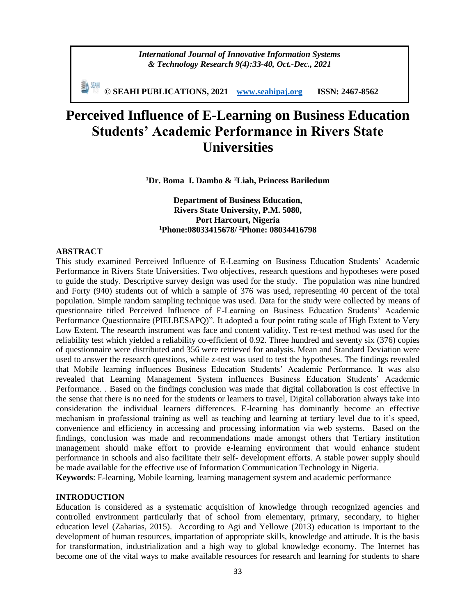*International Journal of Innovative Information Systems & Technology Research 9(4):33-40, Oct.-Dec., 2021*

**© SEAHI PUBLICATIONS, 2021 [www.seahipaj.org](http://www.seahipaj.org/) ISSN: 2467-8562**

# **Perceived Influence of E-Learning on Business Education Students' Academic Performance in Rivers State Universities**

**<sup>1</sup>Dr. Boma I. Dambo & <sup>2</sup>Liah, Princess Bariledum**

**Department of Business Education, Rivers State University, P.M. 5080, Port Harcourt, Nigeria <sup>1</sup>Phone:08033415678/ <sup>2</sup>Phone: 08034416798**

## **ABSTRACT**

This study examined Perceived Influence of E-Learning on Business Education Students' Academic Performance in Rivers State Universities. Two objectives, research questions and hypotheses were posed to guide the study. Descriptive survey design was used for the study. The population was nine hundred and Forty (940) students out of which a sample of 376 was used, representing 40 percent of the total population. Simple random sampling technique was used. Data for the study were collected by means of questionnaire titled Perceived Influence of E-Learning on Business Education Students' Academic Performance Questionnaire (PIELBESAPQ)". It adopted a four point rating scale of High Extent to Very Low Extent. The research instrument was face and content validity. Test re-test method was used for the reliability test which yielded a reliability co-efficient of 0.92. Three hundred and seventy six (376) copies of questionnaire were distributed and 356 were retrieved for analysis. Mean and Standard Deviation were used to answer the research questions, while z-test was used to test the hypotheses. The findings revealed that Mobile learning influences Business Education Students' Academic Performance. It was also revealed that Learning Management System influences Business Education Students' Academic Performance. . Based on the findings conclusion was made that digital collaboration is cost effective in the sense that there is no need for the students or learners to travel, Digital collaboration always take into consideration the individual learners differences. E-learning has dominantly become an effective mechanism in professional training as well as teaching and learning at tertiary level due to it's speed, convenience and efficiency in accessing and processing information via web systems. Based on the findings, conclusion was made and recommendations made amongst others that Tertiary institution management should make effort to provide e-learning environment that would enhance student performance in schools and also facilitate their self- development efforts. A stable power supply should be made available for the effective use of Information Communication Technology in Nigeria. **Keywords**: E-learning, Mobile learning, learning management system and academic performance

#### **INTRODUCTION**

Education is considered as a systematic acquisition of knowledge through recognized agencies and controlled environment particularly that of school from elementary, primary, secondary, to higher education level (Zaharias, 2015). According to Agi and Yellowe (2013) education is important to the development of human resources, impartation of appropriate skills, knowledge and attitude. It is the basis for transformation, industrialization and a high way to global knowledge economy. The Internet has become one of the vital ways to make available resources for research and learning for students to share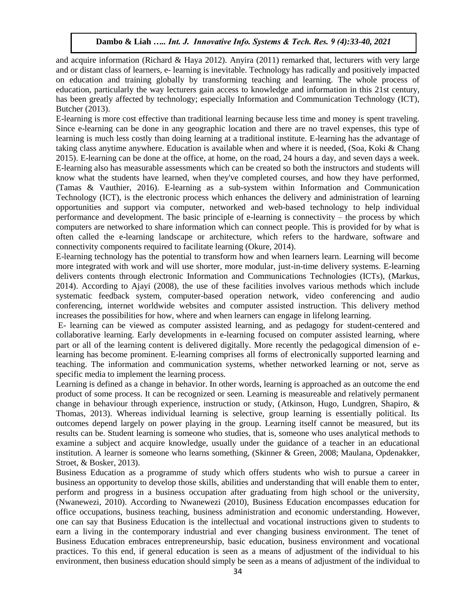and acquire information (Richard & Haya 2012). Anyira (2011) remarked that, lecturers with very large and or distant class of learners, e- learning is inevitable. Technology has radically and positively impacted on education and training globally by transforming teaching and learning. The whole process of education, particularly the way lecturers gain access to knowledge and information in this 21st century, has been greatly affected by technology; especially Information and Communication Technology (ICT), Butcher (2013).

E-learning is more cost effective than traditional learning because less time and money is spent traveling. Since e-learning can be done in any geographic location and there are no travel expenses, this type of learning is much less costly than doing learning at a traditional institute. E-learning has the advantage of taking class anytime anywhere. Education is available when and where it is needed, (Soa, Koki & Chang 2015). E-learning can be done at the office, at home, on the road, 24 hours a day, and seven days a week. E-learning also has measurable assessments which can be created so both the instructors and students will know what the students have learned, when they've completed courses, and how they have performed, (Tamas & Vauthier, 2016). E-learning as a sub-system within Information and Communication Technology (ICT), is the electronic process which enhances the delivery and administration of learning opportunities and support via computer, networked and web-based technology to help individual performance and development. The basic principle of e-learning is connectivity – the process by which computers are networked to share information which can connect people. This is provided for by what is often called the e-learning landscape or architecture, which refers to the hardware, software and connectivity components required to facilitate learning (Okure, 2014).

E-learning technology has the potential to transform how and when learners learn. Learning will become more integrated with work and will use shorter, more modular, just-in-time delivery systems. E-learning delivers contents through electronic Information and Communications Technologies (ICTs), (Markus, 2014). According to Ajayi (2008), the use of these facilities involves various methods which include systematic feedback system, computer-based operation network, video conferencing and audio conferencing, internet worldwide websites and computer assisted instruction. This delivery method increases the possibilities for how, where and when learners can engage in lifelong learning.

E- learning can be viewed as computer assisted learning, and as pedagogy for student-centered and collaborative learning. Early developments in e-learning focused on computer assisted learning, where part or all of the learning content is delivered digitally. More recently the pedagogical dimension of elearning has become prominent. E-learning comprises all forms of electronically supported learning and teaching. The information and communication systems, whether networked learning or not, serve as specific media to implement the learning process.

Learning is defined as a change in behavior. In other words, learning is approached as an outcome the end product of some process. It can be recognized or seen. Learning is measureable and relatively permanent change in behaviour through experience, instruction or study, (Atkinson, Hugo, Lundgren, Shapiro, & Thomas, 2013). Whereas individual learning is selective, group learning is essentially political. Its outcomes depend largely on power playing in the group. Learning itself cannot be measured, but its results can be. Student learning is someone who studies, that is, someone who uses analytical methods to examine a subject and acquire knowledge, usually under the guidance of a teacher in an educational institution. A learner is someone who learns something, (Skinner & Green, 2008; Maulana, Opdenakker, Stroet, & Bosker, 2013).

Business Education as a programme of study which offers students who wish to pursue a career in business an opportunity to develop those skills, abilities and understanding that will enable them to enter, perform and progress in a business occupation after graduating from high school or the university, (Nwanewezi, 2010). According to Nwanewezi (2010), Business Education encompasses education for office occupations, business teaching, business administration and economic understanding. However, one can say that Business Education is the intellectual and vocational instructions given to students to earn a living in the contemporary industrial and ever changing business environment. The tenet of Business Education embraces entrepreneurship, basic education, business environment and vocational practices. To this end, if general education is seen as a means of adjustment of the individual to his environment, then business education should simply be seen as a means of adjustment of the individual to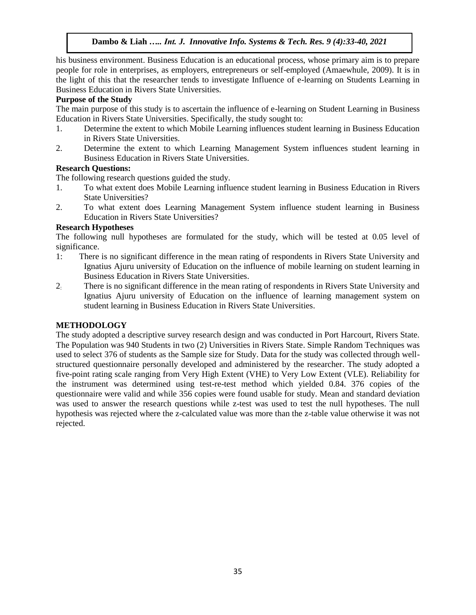his business environment. Business Education is an educational process, whose primary aim is to prepare people for role in enterprises, as employers, entrepreneurs or self-employed (Amaewhule, 2009). It is in the light of this that the researcher tends to investigate Influence of e-learning on Students Learning in Business Education in Rivers State Universities.

## **Purpose of the Study**

The main purpose of this study is to ascertain the influence of e-learning on Student Learning in Business Education in Rivers State Universities. Specifically, the study sought to:

- 1. Determine the extent to which Mobile Learning influences student learning in Business Education in Rivers State Universities.
- 2. Determine the extent to which Learning Management System influences student learning in Business Education in Rivers State Universities.

## **Research Questions:**

The following research questions guided the study.

- 1. To what extent does Mobile Learning influence student learning in Business Education in Rivers State Universities?
- 2. To what extent does Learning Management System influence student learning in Business Education in Rivers State Universities?

## **Research Hypotheses**

The following null hypotheses are formulated for the study, which will be tested at 0.05 level of significance.

- 1: There is no significant difference in the mean rating of respondents in Rivers State University and Ignatius Ajuru university of Education on the influence of mobile learning on student learning in Business Education in Rivers State Universities.
- 2: There is no significant difference in the mean rating of respondents in Rivers State University and Ignatius Ajuru university of Education on the influence of learning management system on student learning in Business Education in Rivers State Universities.

#### **METHODOLOGY**

The study adopted a descriptive survey research design and was conducted in Port Harcourt, Rivers State. The Population was 940 Students in two (2) Universities in Rivers State. Simple Random Techniques was used to select 376 of students as the Sample size for Study. Data for the study was collected through wellstructured questionnaire personally developed and administered by the researcher. The study adopted a five-point rating scale ranging from Very High Extent (VHE) to Very Low Extent (VLE). Reliability for the instrument was determined using test-re-test method which yielded 0.84. 376 copies of the questionnaire were valid and while 356 copies were found usable for study. Mean and standard deviation was used to answer the research questions while z-test was used to test the null hypotheses. The null hypothesis was rejected where the z-calculated value was more than the z-table value otherwise it was not rejected.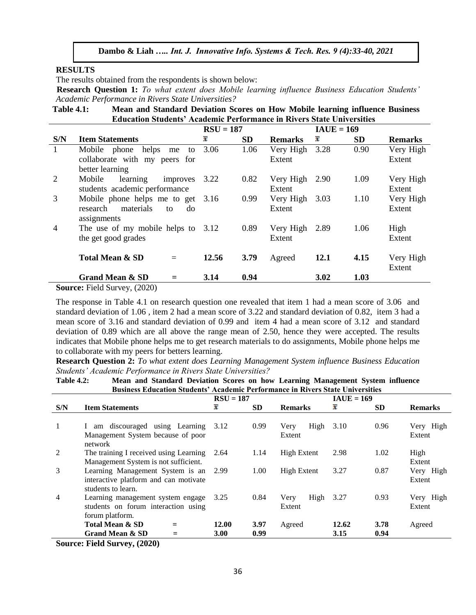#### **RESULTS**

The results obtained from the respondents is shown below:

 **Research Question 1:** *To what extent does Mobile learning influence Business Education Students' Academic Performance in Rivers State Universities?*

**Table 4.1: Mean and Standard Deviation Scores on How Mobile learning influence Business Education Students' Academic Performance in Rivers State Universities**

|                                                                                                                                                                                       |                                      | $RSU = 187$ |           |                | $IAUE = 169$ |           |                |  |  |
|---------------------------------------------------------------------------------------------------------------------------------------------------------------------------------------|--------------------------------------|-------------|-----------|----------------|--------------|-----------|----------------|--|--|
| S/N                                                                                                                                                                                   | <b>Item Statements</b>               | x           | <b>SD</b> | <b>Remarks</b> | x            | <b>SD</b> | <b>Remarks</b> |  |  |
| 1                                                                                                                                                                                     | Mobile phone helps<br>me<br>to       | 3.06        | 1.06      | Very High      | 3.28         | 0.90      | Very High      |  |  |
|                                                                                                                                                                                       | collaborate with my peers for        |             |           | Extent         |              |           | Extent         |  |  |
|                                                                                                                                                                                       | better learning                      |             |           |                |              |           |                |  |  |
| 2                                                                                                                                                                                     | learning<br>Mobile<br>improves       | 3.22        | 0.82      | Very High      | 2.90         | 1.09      | Very High      |  |  |
|                                                                                                                                                                                       | students academic performance        |             |           | Extent         |              |           | Extent         |  |  |
| 3                                                                                                                                                                                     | Mobile phone helps me to get         | 3.16        | 0.99      | Very High      | 3.03         | 1.10      | Very High      |  |  |
|                                                                                                                                                                                       | materials<br>research<br>do<br>to    |             |           | Extent         |              |           | Extent         |  |  |
|                                                                                                                                                                                       | assignments                          |             |           |                |              |           |                |  |  |
| $\overline{4}$                                                                                                                                                                        | The use of my mobile helps to $3.12$ |             | 0.89      | Very High      | 2.89         | 1.06      | High           |  |  |
|                                                                                                                                                                                       | the get good grades                  |             |           | Extent         |              |           | Extent         |  |  |
|                                                                                                                                                                                       | <b>Total Mean &amp; SD</b><br>$=$    | 12.56       | 3.79      | Agreed         | <b>12.1</b>  | 4.15      | Very High      |  |  |
|                                                                                                                                                                                       |                                      |             |           |                |              |           | Extent         |  |  |
|                                                                                                                                                                                       | <b>Grand Mean &amp; SD</b><br>$=$    | 3.14        | 0.94      |                | 3.02         | 1.03      |                |  |  |
| $R_{\text{2}}$ $R_{\text{3}}$ $R_{\text{3}}$ $R_{\text{4}}$ $R_{\text{4}}$ $R_{\text{5}}$ $R_{\text{6}}$ $R_{\text{7}}$ $R_{\text{8}}$ $R_{\text{9}}$ $R_{\text{10}}$ $R_{\text{10}}$ |                                      |             |           |                |              |           |                |  |  |

**Source:** Field Survey, (2020)

The response in Table 4.1 on research question one revealed that item 1 had a mean score of 3.06 and standard deviation of 1.06 , item 2 had a mean score of 3.22 and standard deviation of 0.82, item 3 had a mean score of 3.16 and standard deviation of 0.99 and item 4 had a mean score of 3.12 and standard deviation of 0.89 which are all above the range mean of 2.50, hence they were accepted. The results indicates that Mobile phone helps me to get research materials to do assignments, Mobile phone helps me to collaborate with my peers for betters learning.

**Research Question 2:** *To what extent does Learning Management System influence Business Education Students' Academic Performance in Rivers State Universities?*

**Table 4.2: Mean and Standard Deviation Scores on how Learning Management System influence Business Education Students' Academic Performance in Rivers State Universities**

|     |                                                                                                 | $RSU = 187$   |              |                        | $IAUE = 169$  |              |                     |
|-----|-------------------------------------------------------------------------------------------------|---------------|--------------|------------------------|---------------|--------------|---------------------|
| S/N | <b>Item Statements</b>                                                                          | x             | <b>SD</b>    | <b>Remarks</b>         | x             | SD.          | <b>Remarks</b>      |
|     | am discouraged using Learning<br>$\mathbf{I}$<br>Management System because of poor<br>network   | 3.12          | 0.99         | High<br>Very<br>Extent | 3.10          | 0.96         | Very High<br>Extent |
| 2   | The training I received using Learning<br>Management System is not sufficient.                  | 2.64          | 1.14         | High Extent            | 2.98          | 1.02         | High<br>Extent      |
| 3   | Learning Management System is an<br>interactive platform and can motivate<br>students to learn. | 2.99          | 1.00         | High Extent            | 3.27          | 0.87         | Very High<br>Extent |
| 4   | Learning management system engage<br>students on forum interaction using<br>forum platform.     | 3.25          | 0.84         | High<br>Very<br>Extent | 3.27          | 0.93         | Very High<br>Extent |
|     | Total Mean & SD<br>$=$<br>Grand Mean & SD                                                       | 12.00<br>3.00 | 3.97<br>0.99 | Agreed                 | 12.62<br>3.15 | 3.78<br>0.94 | Agreed              |

**Source: Field Survey, (2020)**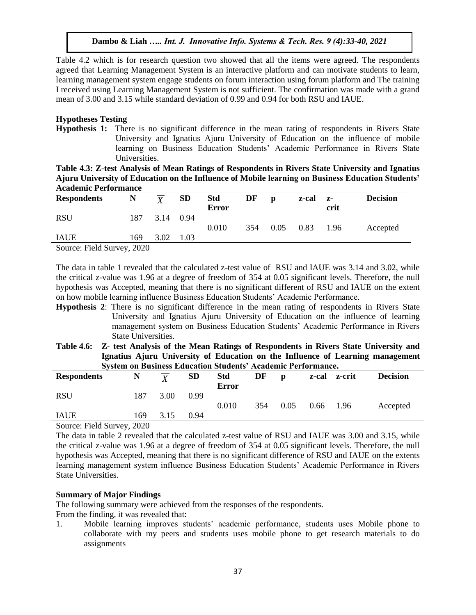Table 4.2 which is for research question two showed that all the items were agreed. The respondents agreed that Learning Management System is an interactive platform and can motivate students to learn, learning management system engage students on forum interaction using forum platform and The training I received using Learning Management System is not sufficient. The confirmation was made with a grand mean of 3.00 and 3.15 while standard deviation of 0.99 and 0.94 for both RSU and IAUE.

## **Hypotheses Testing**

**Hypothesis 1:** There is no significant difference in the mean rating of respondents in Rivers State University and Ignatius Ajuru University of Education on the influence of mobile learning on Business Education Students' Academic Performance in Rivers State Universities.

**Table 4.3: Z-test Analysis of Mean Ratings of Respondents in Rivers State University and Ignatius Ajuru University of Education on the Influence of Mobile learning on Business Education Students' Academic Performance**

| <b>Respondents</b>                                                                              | N   | $\overline{\mathbf{y}}$ | <b>SD</b> | <b>Std</b>   | DF  | D    | z-cal | $Z-$ | <b>Decision</b> |
|-------------------------------------------------------------------------------------------------|-----|-------------------------|-----------|--------------|-----|------|-------|------|-----------------|
|                                                                                                 |     |                         |           | <b>Error</b> |     |      |       | crit |                 |
| <b>RSU</b>                                                                                      | 187 | 3.14                    | 0.94      |              |     |      |       |      |                 |
|                                                                                                 |     |                         |           | 0.010        | 354 | 0.05 | 0.83  | 1.96 | Accepted        |
| <b>IAUE</b>                                                                                     | 169 | 3.02                    | 1.03      |              |     |      |       |      |                 |
| $\Omega_{\text{average}}$ $\Gamma_{\text{total}}$ $\Omega_{\text{source}}$ $\Omega_{\text{OM}}$ |     |                         |           |              |     |      |       |      |                 |

Source: Field Survey, 2020

The data in table 1 revealed that the calculated z-test value of RSU and IAUE was 3.14 and 3.02, while the critical z-value was 1.96 at a degree of freedom of 354 at 0.05 significant levels. Therefore, the null hypothesis was Accepted, meaning that there is no significant different of RSU and IAUE on the extent on how mobile learning influence Business Education Students' Academic Performance.

- **Hypothesis 2**: There is no significant difference in the mean rating of respondents in Rivers State University and Ignatius Ajuru University of Education on the influence of learning management system on Business Education Students' Academic Performance in Rivers State Universities.
- **Table 4.6: Z- test Analysis of the Mean Ratings of Respondents in Rivers State University and Ignatius Ajuru University of Education on the Influence of Learning management System on Business Education Students' Academic Performance.**

| <b>Respondents</b>       | N                                 | $\overline{Y}$ | <b>SD</b> | <b>Std</b>   | DF  | $\mathbf{D}$ |      | z-cal z-crit | <b>Decision</b> |  |
|--------------------------|-----------------------------------|----------------|-----------|--------------|-----|--------------|------|--------------|-----------------|--|
|                          |                                   |                |           | <b>Error</b> |     |              |      |              |                 |  |
| <b>RSU</b>               | 187                               | 3.00           | 0.99      |              |     |              |      |              |                 |  |
|                          |                                   |                |           | 0.010        | 354 | 0.05         | 0.66 | 1.96         | Accepted        |  |
| <b>IAUE</b>              | 169                               | 3.15           | 0.94      |              |     |              |      |              |                 |  |
| $\sim$<br>$\blacksquare$ | $\bullet \bullet \bullet \bullet$ |                |           |              |     |              |      |              |                 |  |

Source: Field Survey, 2020

The data in table 2 revealed that the calculated z-test value of RSU and IAUE was 3.00 and 3.15, while the critical z-value was 1.96 at a degree of freedom of 354 at 0.05 significant levels. Therefore, the null hypothesis was Accepted, meaning that there is no significant difference of RSU and IAUE on the extents learning management system influence Business Education Students' Academic Performance in Rivers State Universities.

## **Summary of Major Findings**

The following summary were achieved from the responses of the respondents.

From the finding, it was revealed that:

1. Mobile learning improves students' academic performance, students uses Mobile phone to collaborate with my peers and students uses mobile phone to get research materials to do assignments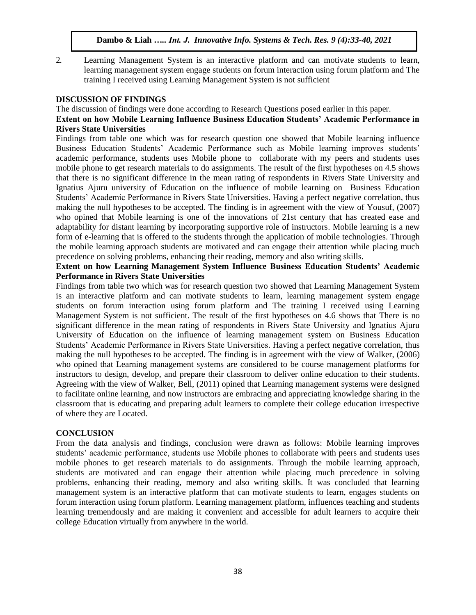- 
- 2. Learning Management System is an interactive platform and can motivate students to learn, learning management system engage students on forum interaction using forum platform and The training I received using Learning Management System is not sufficient

## **DISCUSSION OF FINDINGS**

The discussion of findings were done according to Research Questions posed earlier in this paper. **Extent on how Mobile Learning Influence Business Education Students' Academic Performance in Rivers State Universities**

Findings from table one which was for research question one showed that Mobile learning influence Business Education Students' Academic Performance such as Mobile learning improves students' academic performance, students uses Mobile phone to collaborate with my peers and students uses mobile phone to get research materials to do assignments. The result of the first hypotheses on 4.5 shows that there is no significant difference in the mean rating of respondents in Rivers State University and Ignatius Ajuru university of Education on the influence of mobile learning on Business Education Students' Academic Performance in Rivers State Universities. Having a perfect negative correlation, thus making the null hypotheses to be accepted. The finding is in agreement with the view of Yousuf, (2007) who opined that Mobile learning is one of the innovations of 21st century that has created ease and adaptability for distant learning by incorporating supportive role of instructors. Mobile learning is a new form of e-learning that is offered to the students through the application of mobile technologies. Through the mobile learning approach students are motivated and can engage their attention while placing much precedence on solving problems, enhancing their reading, memory and also writing skills.

## **Extent on how Learning Management System Influence Business Education Students' Academic Performance in Rivers State Universities**

Findings from table two which was for research question two showed that Learning Management System is an interactive platform and can motivate students to learn, learning management system engage students on forum interaction using forum platform and The training I received using Learning Management System is not sufficient. The result of the first hypotheses on 4.6 shows that There is no significant difference in the mean rating of respondents in Rivers State University and Ignatius Ajuru University of Education on the influence of learning management system on Business Education Students' Academic Performance in Rivers State Universities. Having a perfect negative correlation, thus making the null hypotheses to be accepted. The finding is in agreement with the view of Walker, (2006) who opined that Learning management systems are considered to be course management platforms for instructors to design, develop, and prepare their classroom to deliver online education to their students. Agreeing with the view of Walker, Bell, (2011) opined that Learning management systems were designed to facilitate online learning, and now instructors are embracing and appreciating knowledge sharing in the classroom that is educating and preparing adult learners to complete their college education irrespective of where they are Located.

## **CONCLUSION**

From the data analysis and findings, conclusion were drawn as follows: Mobile learning improves students' academic performance, students use Mobile phones to collaborate with peers and students uses mobile phones to get research materials to do assignments. Through the mobile learning approach, students are motivated and can engage their attention while placing much precedence in solving problems, enhancing their reading, memory and also writing skills. It was concluded that learning management system is an interactive platform that can motivate students to learn, engages students on forum interaction using forum platform. Learning management platform, influences teaching and students learning tremendously and are making it convenient and accessible for adult learners to acquire their college Education virtually from anywhere in the world.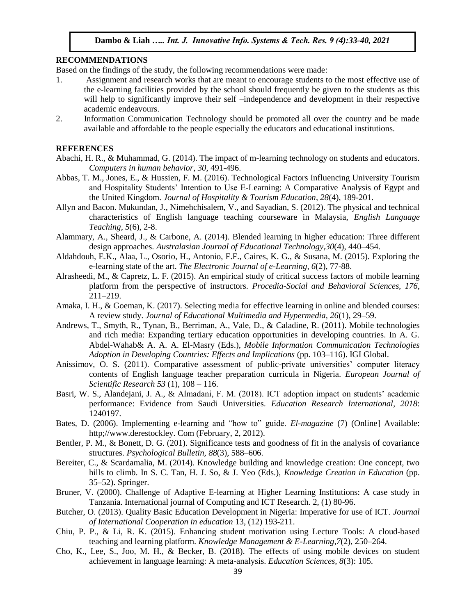#### **RECOMMENDATIONS**

Based on the findings of the study, the following recommendations were made:

- 1. Assignment and research works that are meant to encourage students to the most effective use of the e-learning facilities provided by the school should frequently be given to the students as this will help to significantly improve their self –independence and development in their respective academic endeavours.
- 2. Information Communication Technology should be promoted all over the country and be made available and affordable to the people especially the educators and educational institutions.

#### **REFERENCES**

- Abachi, H. R., & Muhammad, G. (2014). The impact of m-learning technology on students and educators. *Computers in human behavior*, *30*, 491-496.
- Abbas, T. M., Jones, E., & Hussien, F. M. (2016). Technological Factors Influencing University Tourism and Hospitality Students' Intention to Use E-Learning: A Comparative Analysis of Egypt and the United Kingdom. *Journal of Hospitality & Tourism Education*, *28*(4), 189-201.
- Allyn and Bacon. Mukundan, J., Nimehchisalem, V., and Sayadian, S. (2012). The physical and technical characteristics of English language teaching courseware in Malaysia, *English Language Teaching, 5*(6), 2-8.
- Alammary, A., Sheard, J., & Carbone, A. (2014). Blended learning in higher education: Three different design approaches. *Australasian Journal of Educational Technology,30*(4), 440–454.
- Aldahdouh, E.K., Alaa, L., Osorio, H., Antonio, F.F., Caires, K. G., & Susana, M. (2015). Exploring the e-learning state of the art. *The Electronic Journal of e-Learning, 6*(2), 77-88.
- Alrasheedi, M., & Capretz, L. F. (2015). An empirical study of critical success factors of mobile learning platform from the perspective of instructors. *Procedia-Social and Behavioral Sciences, 176*, 211–219.
- Amaka, I. H., & Goeman, K. (2017). Selecting media for effective learning in online and blended courses: A review study. *Journal of Educational Multimedia and Hypermedia, 26*(1), 29–59.
- Andrews, T., Smyth, R., Tynan, B., Berriman, A., Vale, D., & Caladine, R. (2011). Mobile technologies and rich media: Expanding tertiary education opportunities in developing countries. In A. G. Abdel-Wahab& A. A. A. El-Masry (Eds.), *Mobile Information Communication Technologies Adoption in Developing Countries: Effects and Implications* (pp. 103–116). IGI Global.
- Anissimov, O. S. (2011). Comparative assessment of public-private universities' computer literacy contents of English language teacher preparation curricula in Nigeria. *European Journal of Scientific Research 53* (1), 108 – 116.
- Basri, W. S., Alandejani, J. A., & Almadani, F. M. (2018). ICT adoption impact on students' academic performance: Evidence from Saudi Universities. *Education Research International, 2018*: 1240197.
- Bates, D. (2006). Implementing e-learning and "how to" guide. *El-magazine* (7) (Online] Available: http;//www.derestockley. Com (February, 2, 2012).
- Bentler, P. M., & Bonett, D. G. (201). Significance tests and goodness of fit in the analysis of covariance structures. *Psychological Bulletin, 88*(3), 588–606.
- Bereiter, C., & Scardamalia, M. (2014). Knowledge building and knowledge creation: One concept, two hills to climb. In S. C. Tan, H. J. So, & J. Yeo (Eds.), *Knowledge Creation in Education* (pp. 35–52). Springer.
- Bruner, V. (2000). Challenge of Adaptive E-learning at Higher Learning Institutions: A case study in Tanzania. International journal of Computing and ICT Research. 2, (1) 80-96.
- Butcher, O. (2013). Quality Basic Education Development in Nigeria: Imperative for use of ICT. *Journal of International Cooperation in education* 13, (12) 193-211.
- Chiu, P. P., & Li, R. K. (2015). Enhancing student motivation using Lecture Tools: A cloud-based teaching and learning platform. *Knowledge Management & E-Learning,7*(2), 250–264.
- Cho, K., Lee, S., Joo, M. H., & Becker, B. (2018). The effects of using mobile devices on student achievement in language learning: A meta-analysis. *Education Sciences, 8*(3): 105.